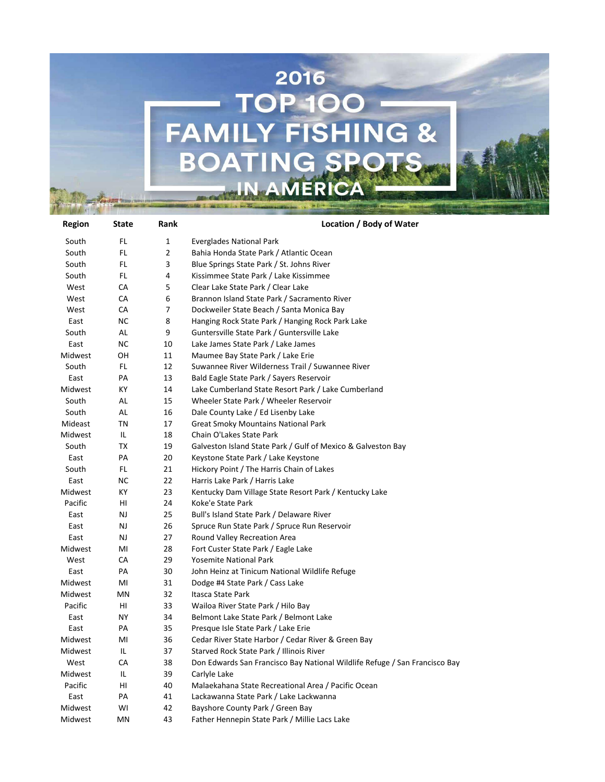

| Region  | State     | Rank         | Location / Body of Water                                                   |
|---------|-----------|--------------|----------------------------------------------------------------------------|
| South   | FL        | $\mathbf{1}$ | <b>Everglades National Park</b>                                            |
| South   | FL        | 2            | Bahia Honda State Park / Atlantic Ocean                                    |
| South   | FL.       | 3            | Blue Springs State Park / St. Johns River                                  |
| South   | FL        | 4            | Kissimmee State Park / Lake Kissimmee                                      |
| West    | CA        | 5            | Clear Lake State Park / Clear Lake                                         |
| West    | CA        | 6            | Brannon Island State Park / Sacramento River                               |
| West    | CA        | 7            | Dockweiler State Beach / Santa Monica Bay                                  |
| East    | <b>NC</b> | 8            | Hanging Rock State Park / Hanging Rock Park Lake                           |
| South   | AL        | 9            | Guntersville State Park / Guntersville Lake                                |
| East    | <b>NC</b> | 10           | Lake James State Park / Lake James                                         |
| Midwest | OН        | 11           | Maumee Bay State Park / Lake Erie                                          |
| South   | FL        | 12           | Suwannee River Wilderness Trail / Suwannee River                           |
| East    | PA        | 13           | Bald Eagle State Park / Sayers Reservoir                                   |
| Midwest | КY        | 14           | Lake Cumberland State Resort Park / Lake Cumberland                        |
| South   | AL        | 15           | Wheeler State Park / Wheeler Reservoir                                     |
| South   | AL        | 16           | Dale County Lake / Ed Lisenby Lake                                         |
| Mideast | <b>TN</b> | 17           | <b>Great Smoky Mountains National Park</b>                                 |
| Midwest | IL        | 18           | Chain O'Lakes State Park                                                   |
| South   | TX        | 19           | Galveston Island State Park / Gulf of Mexico & Galveston Bay               |
| East    | PA        | 20           | Keystone State Park / Lake Keystone                                        |
| South   | FL        | 21           | Hickory Point / The Harris Chain of Lakes                                  |
| East    | <b>NC</b> | 22           | Harris Lake Park / Harris Lake                                             |
| Midwest | КY        | 23           | Kentucky Dam Village State Resort Park / Kentucky Lake                     |
| Pacific | HI        | 24           | Koke'e State Park                                                          |
| East    | NJ        | 25           | Bull's Island State Park / Delaware River                                  |
| East    | NJ        | 26           | Spruce Run State Park / Spruce Run Reservoir                               |
| East    | NJ        | 27           | Round Valley Recreation Area                                               |
| Midwest | MI        | 28           | Fort Custer State Park / Eagle Lake                                        |
| West    | CA        | 29           | <b>Yosemite National Park</b>                                              |
| East    | PA        | 30           | John Heinz at Tinicum National Wildlife Refuge                             |
| Midwest | MI        | 31           | Dodge #4 State Park / Cass Lake                                            |
| Midwest | ΜN        | 32           | Itasca State Park                                                          |
| Pacific | HI        | 33           | Wailoa River State Park / Hilo Bay                                         |
| East    | ΝY        | 34           | Belmont Lake State Park / Belmont Lake                                     |
| East    | PA        | 35           | Presque Isle State Park / Lake Erie                                        |
| Midwest | MI        | 36           | Cedar River State Harbor / Cedar River & Green Bay                         |
| Midwest | IL        | 37           | Starved Rock State Park / Illinois River                                   |
| West    | CA        | 38           | Don Edwards San Francisco Bay National Wildlife Refuge / San Francisco Bay |
| Midwest | IL        | 39           | Carlyle Lake                                                               |
| Pacific | HI        | 40           | Malaekahana State Recreational Area / Pacific Ocean                        |
| East    | PA        | 41           | Lackawanna State Park / Lake Lackwanna                                     |
| Midwest | WI        | 42           | Bayshore County Park / Green Bay                                           |
| Midwest | MN        | 43           | Father Hennepin State Park / Millie Lacs Lake                              |